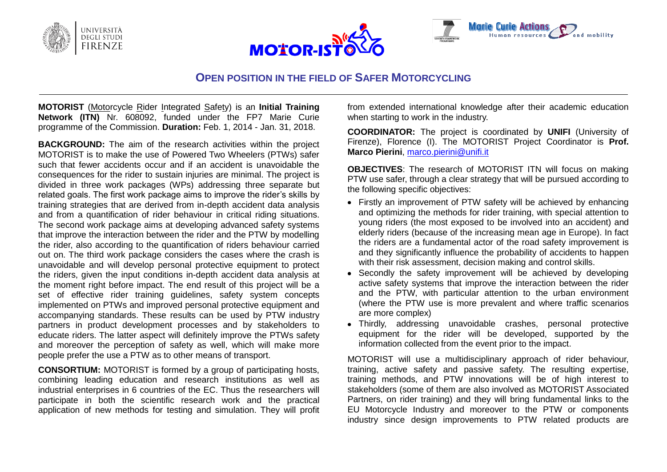





## **OPEN POSITION IN THE FIELD OF SAFER MOTORCYCLING**

**MOTORIST** (Motorcycle Rider Integrated Safety) is an **Initial Training Network (ITN)** Nr. 608092, funded under the FP7 Marie Curie programme of the Commission. **Duration:** Feb. 1, 2014 - Jan. 31, 2018.

**BACKGROUND:** The aim of the research activities within the project MOTORIST is to make the use of Powered Two Wheelers (PTWs) safer such that fewer accidents occur and if an accident is unavoidable the consequences for the rider to sustain injuries are minimal. The project is divided in three work packages (WPs) addressing three separate but related goals. The first work package aims to improve the rider's skills by training strategies that are derived from in-depth accident data analysis and from a quantification of rider behaviour in critical riding situations. The second work package aims at developing advanced safety systems that improve the interaction between the rider and the PTW by modelling the rider, also according to the quantification of riders behaviour carried out on. The third work package considers the cases where the crash is unavoidable and will develop personal protective equipment to protect the riders, given the input conditions in-depth accident data analysis at the moment right before impact. The end result of this project will be a set of effective rider training guidelines, safety system concepts implemented on PTWs and improved personal protective equipment and accompanying standards. These results can be used by PTW industry partners in product development processes and by stakeholders to educate riders. The latter aspect will definitely improve the PTWs safety and moreover the perception of safety as well, which will make more people prefer the use a PTW as to other means of transport.

**CONSORTIUM:** MOTORIST is formed by a group of participating hosts, combining leading education and research institutions as well as industrial enterprises in 6 countries of the EC. Thus the researchers will participate in both the scientific research work and the practical application of new methods for testing and simulation. They will profit from extended international knowledge after their academic education when starting to work in the industry.

**COORDINATOR:** The project is coordinated by **UNIFI** (University of Firenze), Florence (I). The MOTORIST Project Coordinator is **Prof. Marco Pierini**, [marco.pierini@unifi.it](mailto:marco.pierini@unifi.it)

**OBJECTIVES**: The research of MOTORIST ITN will focus on making PTW use safer, through a clear strategy that will be pursued according to the following specific objectives:

- Firstly an improvement of PTW safety will be achieved by enhancing and optimizing the methods for rider training, with special attention to young riders (the most exposed to be involved into an accident) and elderly riders (because of the increasing mean age in Europe). In fact the riders are a fundamental actor of the road safety improvement is and they significantly influence the probability of accidents to happen with their risk assessment, decision making and control skills.
- Secondly the safety improvement will be achieved by developing active safety systems that improve the interaction between the rider and the PTW, with particular attention to the urban environment (where the PTW use is more prevalent and where traffic scenarios are more complex)
- Thirdly, addressing unavoidable crashes, personal protective equipment for the rider will be developed, supported by the information collected from the event prior to the impact.

MOTORIST will use a multidisciplinary approach of rider behaviour, training, active safety and passive safety. The resulting expertise, training methods, and PTW innovations will be of high interest to stakeholders (some of them are also involved as MOTORIST Associated Partners, on rider training) and they will bring fundamental links to the EU Motorcycle Industry and moreover to the PTW or components industry since design improvements to PTW related products are